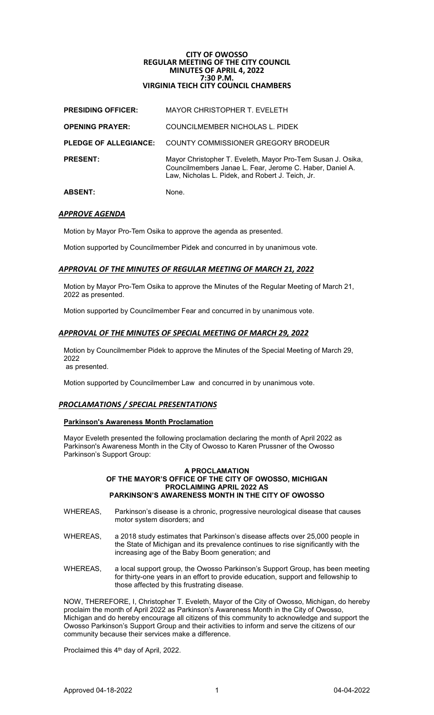# **CITY OF OWOSSO REGULAR MEETING OF THE CITY COUNCIL MINUTES OF APRIL 4, 2022 7:30 P.M. VIRGINIA TEICH CITY COUNCIL CHAMBERS**

| <b>ABSENT:</b>               | None.                                                                                                                                                                       |
|------------------------------|-----------------------------------------------------------------------------------------------------------------------------------------------------------------------------|
| <b>PRESENT:</b>              | Mayor Christopher T. Eveleth, Mayor Pro-Tem Susan J. Osika,<br>Councilmembers Janae L. Fear, Jerome C. Haber, Daniel A.<br>Law, Nicholas L. Pidek, and Robert J. Teich, Jr. |
| <b>PLEDGE OF ALLEGIANCE:</b> | COUNTY COMMISSIONER GREGORY BRODEUR                                                                                                                                         |
| <b>OPENING PRAYER:</b>       | COUNCILMEMBER NICHOLAS L. PIDEK                                                                                                                                             |
| <b>PRESIDING OFFICER:</b>    | MAYOR CHRISTOPHER T. EVELETH                                                                                                                                                |

# *APPROVE AGENDA*

Motion by Mayor Pro-Tem Osika to approve the agenda as presented.

Motion supported by Councilmember Pidek and concurred in by unanimous vote.

# *APPROVAL OF THE MINUTES OF REGULAR MEETING OF MARCH 21, 2022*

Motion by Mayor Pro-Tem Osika to approve the Minutes of the Regular Meeting of March 21, 2022 as presented.

Motion supported by Councilmember Fear and concurred in by unanimous vote.

## *APPROVAL OF THE MINUTES OF SPECIAL MEETING OF MARCH 29, 2022*

Motion by Councilmember Pidek to approve the Minutes of the Special Meeting of March 29, 2022 as presented.

Motion supported by Councilmember Law and concurred in by unanimous vote.

## *PROCLAMATIONS / SPECIAL PRESENTATIONS*

## **Parkinson's Awareness Month Proclamation**

Mayor Eveleth presented the following proclamation declaring the month of April 2022 as Parkinson's Awareness Month in the City of Owosso to Karen Prussner of the Owosso Parkinson's Support Group:

#### **A PROCLAMATION OF THE MAYOR'S OFFICE OF THE CITY OF OWOSSO, MICHIGAN PROCLAIMING APRIL 2022 AS PARKINSON'S AWARENESS MONTH IN THE CITY OF OWOSSO**

- WHEREAS, Parkinson's disease is a chronic, progressive neurological disease that causes motor system disorders; and
- WHEREAS, a 2018 study estimates that Parkinson's disease affects over 25,000 people in the State of Michigan and its prevalence continues to rise significantly with the increasing age of the Baby Boom generation; and
- WHEREAS, a local support group, the Owosso Parkinson's Support Group, has been meeting for thirty-one years in an effort to provide education, support and fellowship to those affected by this frustrating disease.

NOW, THEREFORE, I, Christopher T. Eveleth, Mayor of the City of Owosso, Michigan, do hereby proclaim the month of April 2022 as Parkinson's Awareness Month in the City of Owosso, Michigan and do hereby encourage all citizens of this community to acknowledge and support the Owosso Parkinson's Support Group and their activities to inform and serve the citizens of our community because their services make a difference.

Proclaimed this 4<sup>th</sup> day of April, 2022.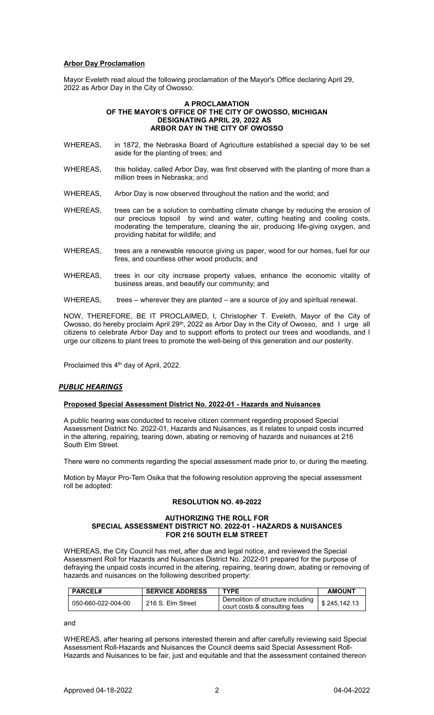# **Arbor Day Proclamation**

Mayor Eveleth read aloud the following proclamation of the Mayor's Office declaring April 29, 2022 as Arbor Day in the City of Owosso:

#### **A PROCLAMATION OF THE MAYOR'S OFFICE OF THE CITY OF OWOSSO, MICHIGAN DESIGNATING APRIL 29, 2022 AS ARBOR DAY IN THE CITY OF OWOSSO**

- WHEREAS, in 1872, the Nebraska Board of Agriculture established a special day to be set aside for the planting of trees; and
- WHEREAS, this holiday, called Arbor Day, was first observed with the planting of more than a million trees in Nebraska; and
- WHEREAS, Arbor Day is now observed throughout the nation and the world; and
- WHEREAS, trees can be a solution to combatting climate change by reducing the erosion of our precious topsoil by wind and water, cutting heating and cooling costs, moderating the temperature, cleaning the air, producing life-giving oxygen, and providing habitat for wildlife; and
- WHEREAS, trees are a renewable resource giving us paper, wood for our homes, fuel for our fires, and countless other wood products; and
- WHEREAS, trees in our city increase property values, enhance the economic vitality of business areas, and beautify our community; and
- WHEREAS, trees wherever they are planted are a source of joy and spiritual renewal.

NOW, THEREFORE, BE IT PROCLAIMED, I, Christopher T. Eveleth, Mayor of the City of Owosso, do hereby proclaim April 29<sup>th</sup>, 2022 as Arbor Day in the City of Owosso, and I urge all citizens to celebrate Arbor Day and to support efforts to protect our trees and woodlands, and I urge our citizens to plant trees to promote the well-being of this generation and our posterity.

Proclaimed this 4<sup>th</sup> day of April, 2022.

# *PUBLIC HEARINGS*

# **Proposed Special Assessment District No. 2022-01 - Hazards and Nuisances**

A public hearing was conducted to receive citizen comment regarding proposed Special Assessment District No. 2022-01, Hazards and Nuisances, as it relates to unpaid costs incurred in the altering, repairing, tearing down, abating or removing of hazards and nuisances at 216 South Elm Street.

There were no comments regarding the special assessment made prior to, or during the meeting.

Motion by Mayor Pro-Tem Osika that the following resolution approving the special assessment roll be adopted:

# **RESOLUTION NO. 49-2022**

#### **AUTHORIZING THE ROLL FOR SPECIAL ASSESSMENT DISTRICT NO. 2022-01 - HAZARDS & NUISANCES FOR 216 SOUTH ELM STREET**

WHEREAS, the City Council has met, after due and legal notice, and reviewed the Special Assessment Roll for Hazards and Nuisances District No. 2022-01 prepared for the purpose of defraying the unpaid costs incurred in the altering, repairing, tearing down, abating or removing of hazards and nuisances on the following described property:

| <b>PARCEL#</b>     | <b>SERVICE ADDRESS</b> | <b>TYPF</b>                                                        | <b>AMOUNT</b> |
|--------------------|------------------------|--------------------------------------------------------------------|---------------|
| 050-660-022-004-00 | 216 S. Elm Street      | Demolition of structure including<br>court costs & consulting fees | \$245.142.13  |

and

WHEREAS, after hearing all persons interested therein and after carefully reviewing said Special Assessment Roll-Hazards and Nuisances the Council deems said Special Assessment Roll-Hazards and Nuisances to be fair, just and equitable and that the assessment contained thereon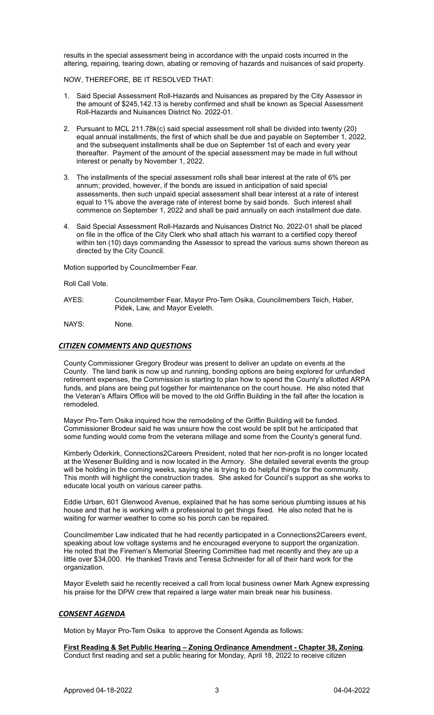results in the special assessment being in accordance with the unpaid costs incurred in the altering, repairing, tearing down, abating or removing of hazards and nuisances of said property.

NOW, THEREFORE, BE IT RESOLVED THAT:

- 1. Said Special Assessment Roll-Hazards and Nuisances as prepared by the City Assessor in the amount of \$245,142.13 is hereby confirmed and shall be known as Special Assessment Roll-Hazards and Nuisances District No. 2022-01.
- 2. Pursuant to MCL 211.78k(c) said special assessment roll shall be divided into twenty (20) equal annual installments, the first of which shall be due and payable on September 1, 2022, and the subsequent installments shall be due on September 1st of each and every year thereafter. Payment of the amount of the special assessment may be made in full without interest or penalty by November 1, 2022.
- 3. The installments of the special assessment rolls shall bear interest at the rate of 6% per annum; provided, however, if the bonds are issued in anticipation of said special assessments, then such unpaid special assessment shall bear interest at a rate of interest equal to 1% above the average rate of interest borne by said bonds. Such interest shall commence on September 1, 2022 and shall be paid annually on each installment due date.
- 4. Said Special Assessment Roll-Hazards and Nuisances District No. 2022-01 shall be placed on file in the office of the City Clerk who shall attach his warrant to a certified copy thereof within ten (10) days commanding the Assessor to spread the various sums shown thereon as directed by the City Council.

Motion supported by Councilmember Fear.

Roll Call Vote.

AYES: Councilmember Fear, Mayor Pro-Tem Osika, Councilmembers Teich, Haber, Pidek, Law, and Mayor Eveleth.

NAYS: None.

# *CITIZEN COMMENTS AND QUESTIONS*

County Commissioner Gregory Brodeur was present to deliver an update on events at the County. The land bank is now up and running, bonding options are being explored for unfunded retirement expenses, the Commission is starting to plan how to spend the County's allotted ARPA funds, and plans are being put together for maintenance on the court house. He also noted that the Veteran's Affairs Office will be moved to the old Griffin Building in the fall after the location is remodeled.

Mayor Pro-Tem Osika inquired how the remodeling of the Griffin Building will be funded. Commissioner Brodeur said he was unsure how the cost would be split but he anticipated that some funding would come from the veterans millage and some from the County's general fund.

Kimberly Oderkirk, Connections2Careers President, noted that her non-profit is no longer located at the Wesener Building and is now located in the Armory. She detailed several events the group will be holding in the coming weeks, saying she is trying to do helpful things for the community. This month will highlight the construction trades. She asked for Council's support as she works to educate local youth on various career paths.

Eddie Urban, 601 Glenwood Avenue, explained that he has some serious plumbing issues at his house and that he is working with a professional to get things fixed. He also noted that he is waiting for warmer weather to come so his porch can be repaired.

Councilmember Law indicated that he had recently participated in a Connections2Careers event, speaking about low voltage systems and he encouraged everyone to support the organization. He noted that the Firemen's Memorial Steering Committee had met recently and they are up a little over \$34,000. He thanked Travis and Teresa Schneider for all of their hard work for the organization.

Mayor Eveleth said he recently received a call from local business owner Mark Agnew expressing his praise for the DPW crew that repaired a large water main break near his business.

# *CONSENT AGENDA*

Motion by Mayor Pro-Tem Osika to approve the Consent Agenda as follows:

**First Reading & Set Public Hearing – Zoning Ordinance Amendment - Chapter 38, Zoning**. Conduct first reading and set a public hearing for Monday, April 18, 2022 to receive citizen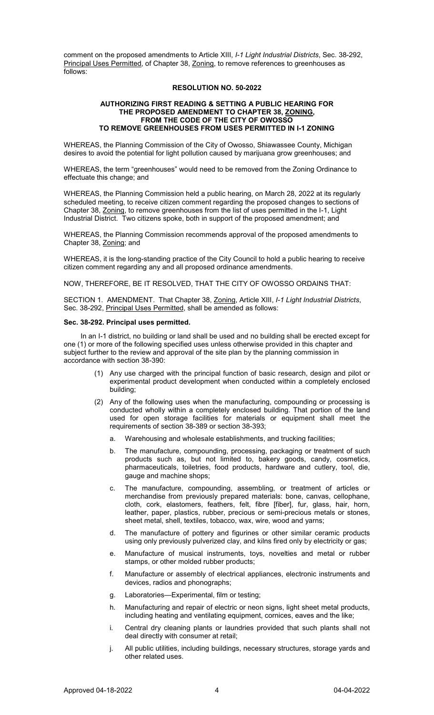comment on the proposed amendments to Article XIII, *I-1 Light Industrial Districts*, Sec. 38-292, Principal Uses Permitted, of Chapter 38, Zoning, to remove references to greenhouses as follows:

## **RESOLUTION NO. 50-2022**

#### **AUTHORIZING FIRST READING & SETTING A PUBLIC HEARING FOR THE PROPOSED AMENDMENT TO CHAPTER 38, ZONING, FROM THE CODE OF THE CITY OF OWOSSO TO REMOVE GREENHOUSES FROM USES PERMITTED IN I-1 ZONING**

WHEREAS, the Planning Commission of the City of Owosso, Shiawassee County, Michigan desires to avoid the potential for light pollution caused by marijuana grow greenhouses; and

WHEREAS, the term "greenhouses" would need to be removed from the Zoning Ordinance to effectuate this change; and

WHEREAS, the Planning Commission held a public hearing, on March 28, 2022 at its regularly scheduled meeting, to receive citizen comment regarding the proposed changes to sections of Chapter 38, Zoning, to remove greenhouses from the list of uses permitted in the I-1, Light Industrial District. Two citizens spoke, both in support of the proposed amendment; and

WHEREAS, the Planning Commission recommends approval of the proposed amendments to Chapter 38, Zoning; and

WHEREAS, it is the long-standing practice of the City Council to hold a public hearing to receive citizen comment regarding any and all proposed ordinance amendments.

NOW, THEREFORE, BE IT RESOLVED, THAT THE CITY OF OWOSSO ORDAINS THAT:

SECTION 1. AMENDMENT. That Chapter 38, Zoning, Article XIII, *I-1 Light Industrial Districts*, Sec. 38-292, Principal Uses Permitted, shall be amended as follows:

#### **Sec. 38-292. Principal uses permitted.**

In an I-1 district, no building or land shall be used and no building shall be erected except for one (1) or more of the following specified uses unless otherwise provided in this chapter and subject further to the review and approval of the site plan by the planning commission in accordance with section 38-390:

- (1) Any use charged with the principal function of basic research, design and pilot or experimental product development when conducted within a completely enclosed building;
- (2) Any of the following uses when the manufacturing, compounding or processing is conducted wholly within a completely enclosed building. That portion of the land used for open storage facilities for materials or equipment shall meet the requirements of section 38-389 or section 38-393;
	- a. Warehousing and wholesale establishments, and trucking facilities;
	- b. The manufacture, compounding, processing, packaging or treatment of such products such as, but not limited to, bakery goods, candy, cosmetics, pharmaceuticals, toiletries, food products, hardware and cutlery, tool, die, gauge and machine shops;
	- c. The manufacture, compounding, assembling, or treatment of articles or merchandise from previously prepared materials: bone, canvas, cellophane, cloth, cork, elastomers, feathers, felt, fibre [fiber], fur, glass, hair, horn, leather, paper, plastics, rubber, precious or semi-precious metals or stones, sheet metal, shell, textiles, tobacco, wax, wire, wood and yarns;
	- d. The manufacture of pottery and figurines or other similar ceramic products using only previously pulverized clay, and kilns fired only by electricity or gas;
	- e. Manufacture of musical instruments, toys, novelties and metal or rubber stamps, or other molded rubber products;
	- f. Manufacture or assembly of electrical appliances, electronic instruments and devices, radios and phonographs;
	- g. Laboratories—Experimental, film or testing;
	- h. Manufacturing and repair of electric or neon signs, light sheet metal products, including heating and ventilating equipment, cornices, eaves and the like;
	- i. Central dry cleaning plants or laundries provided that such plants shall not deal directly with consumer at retail;
	- j. All public utilities, including buildings, necessary structures, storage yards and other related uses.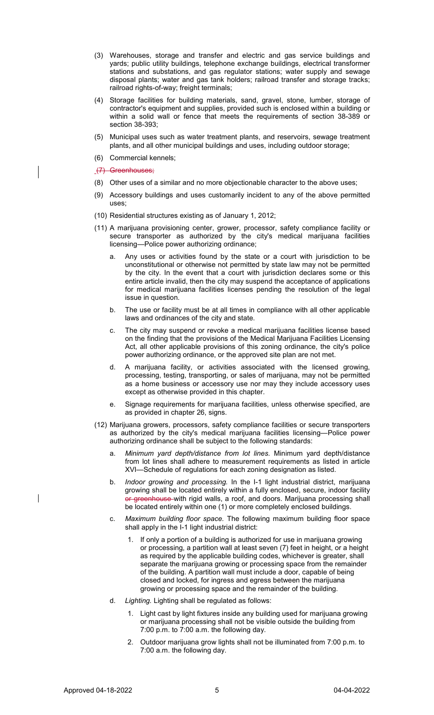- (3) Warehouses, storage and transfer and electric and gas service buildings and yards; public utility buildings, telephone exchange buildings, electrical transformer stations and substations, and gas regulator stations; water supply and sewage disposal plants; water and gas tank holders; railroad transfer and storage tracks; railroad rights-of-way; freight terminals;
- (4) Storage facilities for building materials, sand, gravel, stone, lumber, storage of contractor's equipment and supplies, provided such is enclosed within a building or within a solid wall or fence that meets the requirements of section 38-389 or section 38-393;
- (5) Municipal uses such as water treatment plants, and reservoirs, sewage treatment plants, and all other municipal buildings and uses, including outdoor storage;
- (6) Commercial kennels;

(7) Greenhouses;

- (8) Other uses of a similar and no more objectionable character to the above uses;
- (9) Accessory buildings and uses customarily incident to any of the above permitted uses;
- (10) Residential structures existing as of January 1, 2012;
- (11) A marijuana provisioning center, grower, processor, safety compliance facility or secure transporter as authorized by the city's medical marijuana facilities licensing—Police power authorizing ordinance;
	- Any uses or activities found by the state or a court with jurisdiction to be unconstitutional or otherwise not permitted by state law may not be permitted by the city. In the event that a court with jurisdiction declares some or this entire article invalid, then the city may suspend the acceptance of applications for medical marijuana facilities licenses pending the resolution of the legal issue in question.
	- b. The use or facility must be at all times in compliance with all other applicable laws and ordinances of the city and state.
	- c. The city may suspend or revoke a medical marijuana facilities license based on the finding that the provisions of the Medical Marijuana Facilities Licensing Act, all other applicable provisions of this zoning ordinance, the city's police power authorizing ordinance, or the approved site plan are not met.
	- d. A marijuana facility, or activities associated with the licensed growing, processing, testing, transporting, or sales of marijuana, may not be permitted as a home business or accessory use nor may they include accessory uses except as otherwise provided in this chapter.
	- e. Signage requirements for marijuana facilities, unless otherwise specified, are as provided in chapter 26, signs.
- (12) Marijuana growers, processors, safety compliance facilities or secure transporters as authorized by the city's medical marijuana facilities licensing—Police power authorizing ordinance shall be subject to the following standards:
	- a. *Minimum yard depth/distance from lot lines.* Minimum yard depth/distance from lot lines shall adhere to measurement requirements as listed in article XVI—Schedule of regulations for each zoning designation as listed.
	- b. *Indoor growing and processing.* In the I-1 light industrial district, marijuana growing shall be located entirely within a fully enclosed, secure, indoor facility or greenhouse with rigid walls, a roof, and doors. Marijuana processing shall be located entirely within one (1) or more completely enclosed buildings.
	- c. *Maximum building floor space.* The following maximum building floor space shall apply in the I-1 light industrial district:
		- 1. If only a portion of a building is authorized for use in marijuana growing or processing, a partition wall at least seven (7) feet in height, or a height as required by the applicable building codes, whichever is greater, shall separate the marijuana growing or processing space from the remainder of the building. A partition wall must include a door, capable of being closed and locked, for ingress and egress between the marijuana growing or processing space and the remainder of the building.
	- d. *Lighting.* Lighting shall be regulated as follows:
		- 1. Light cast by light fixtures inside any building used for marijuana growing or marijuana processing shall not be visible outside the building from 7:00 p.m. to 7:00 a.m. the following day.
		- 2. Outdoor marijuana grow lights shall not be illuminated from 7:00 p.m. to 7:00 a.m. the following day.

I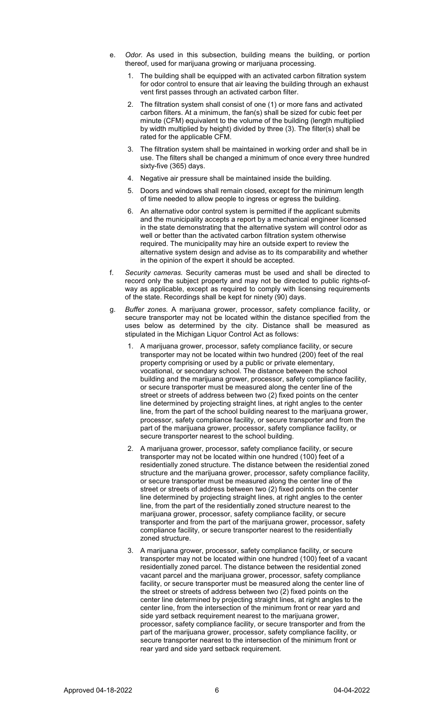- e. *Odor.* As used in this subsection, building means the building, or portion thereof, used for marijuana growing or marijuana processing.
	- The building shall be equipped with an activated carbon filtration system for odor control to ensure that air leaving the building through an exhaust vent first passes through an activated carbon filter.
	- 2. The filtration system shall consist of one (1) or more fans and activated carbon filters. At a minimum, the fan(s) shall be sized for cubic feet per minute (CFM) equivalent to the volume of the building (length multiplied by width multiplied by height) divided by three (3). The filter(s) shall be rated for the applicable CFM.
	- 3. The filtration system shall be maintained in working order and shall be in use. The filters shall be changed a minimum of once every three hundred sixty-five (365) days.
	- 4. Negative air pressure shall be maintained inside the building.
	- 5. Doors and windows shall remain closed, except for the minimum length of time needed to allow people to ingress or egress the building.
	- 6. An alternative odor control system is permitted if the applicant submits and the municipality accepts a report by a mechanical engineer licensed in the state demonstrating that the alternative system will control odor as well or better than the activated carbon filtration system otherwise required. The municipality may hire an outside expert to review the alternative system design and advise as to its comparability and whether in the opinion of the expert it should be accepted.
- f. *Security cameras.* Security cameras must be used and shall be directed to record only the subject property and may not be directed to public rights-ofway as applicable, except as required to comply with licensing requirements of the state. Recordings shall be kept for ninety (90) days.
- g. *Buffer zones.* A marijuana grower, processor, safety compliance facility, or secure transporter may not be located within the distance specified from the uses below as determined by the city. Distance shall be measured as stipulated in the Michigan Liquor Control Act as follows:
	- 1. A marijuana grower, processor, safety compliance facility, or secure transporter may not be located within two hundred (200) feet of the real property comprising or used by a public or private elementary, vocational, or secondary school. The distance between the school building and the marijuana grower, processor, safety compliance facility, or secure transporter must be measured along the center line of the street or streets of address between two (2) fixed points on the center line determined by projecting straight lines, at right angles to the center line, from the part of the school building nearest to the marijuana grower, processor, safety compliance facility, or secure transporter and from the part of the marijuana grower, processor, safety compliance facility, or secure transporter nearest to the school building.
	- 2. A marijuana grower, processor, safety compliance facility, or secure transporter may not be located within one hundred (100) feet of a residentially zoned structure. The distance between the residential zoned structure and the marijuana grower, processor, safety compliance facility, or secure transporter must be measured along the center line of the street or streets of address between two (2) fixed points on the center line determined by projecting straight lines, at right angles to the center line, from the part of the residentially zoned structure nearest to the marijuana grower, processor, safety compliance facility, or secure transporter and from the part of the marijuana grower, processor, safety compliance facility, or secure transporter nearest to the residentially zoned structure.
	- 3. A marijuana grower, processor, safety compliance facility, or secure transporter may not be located within one hundred (100) feet of a vacant residentially zoned parcel. The distance between the residential zoned vacant parcel and the marijuana grower, processor, safety compliance facility, or secure transporter must be measured along the center line of the street or streets of address between two (2) fixed points on the center line determined by projecting straight lines, at right angles to the center line, from the intersection of the minimum front or rear yard and side yard setback requirement nearest to the marijuana grower, processor, safety compliance facility, or secure transporter and from the part of the marijuana grower, processor, safety compliance facility, or secure transporter nearest to the intersection of the minimum front or rear yard and side yard setback requirement.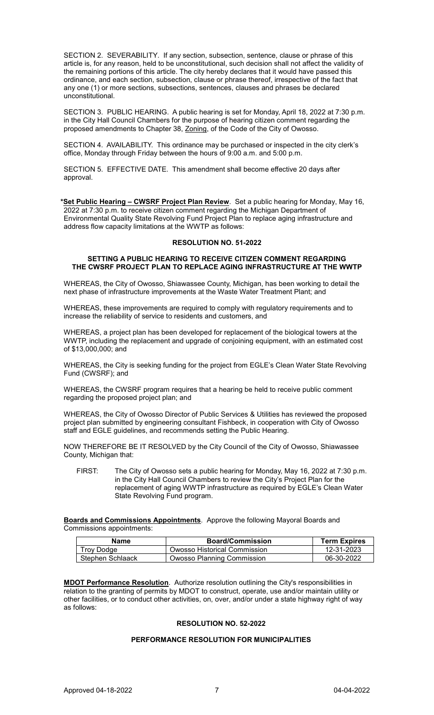SECTION 2. SEVERABILITY. If any section, subsection, sentence, clause or phrase of this article is, for any reason, held to be unconstitutional, such decision shall not affect the validity of the remaining portions of this article. The city hereby declares that it would have passed this ordinance, and each section, subsection, clause or phrase thereof, irrespective of the fact that any one (1) or more sections, subsections, sentences, clauses and phrases be declared unconstitutional.

SECTION 3. PUBLIC HEARING. A public hearing is set for Monday, April 18, 2022 at 7:30 p.m. in the City Hall Council Chambers for the purpose of hearing citizen comment regarding the proposed amendments to Chapter 38, Zoning, of the Code of the City of Owosso.

SECTION 4. AVAILABILITY. This ordinance may be purchased or inspected in the city clerk's office, Monday through Friday between the hours of 9:00 a.m. and 5:00 p.m.

SECTION 5. EFFECTIVE DATE. This amendment shall become effective 20 days after approval.

**\*Set Public Hearing – CWSRF Project Plan Review**. Set a public hearing for Monday, May 16, 2022 at 7:30 p.m. to receive citizen comment regarding the Michigan Department of Environmental Quality State Revolving Fund Project Plan to replace aging infrastructure and address flow capacity limitations at the WWTP as follows:

#### **RESOLUTION NO. 51-2022**

## **SETTING A PUBLIC HEARING TO RECEIVE CITIZEN COMMENT REGARDING THE CWSRF PROJECT PLAN TO REPLACE AGING INFRASTRUCTURE AT THE WWTP**

WHEREAS, the City of Owosso, Shiawassee County, Michigan, has been working to detail the next phase of infrastructure improvements at the Waste Water Treatment Plant; and

WHEREAS, these improvements are required to comply with regulatory requirements and to increase the reliability of service to residents and customers, and

WHEREAS, a project plan has been developed for replacement of the biological towers at the WWTP, including the replacement and upgrade of conjoining equipment, with an estimated cost of \$13,000,000; and

WHEREAS, the City is seeking funding for the project from EGLE's Clean Water State Revolving Fund (CWSRF); and

WHEREAS, the CWSRF program requires that a hearing be held to receive public comment regarding the proposed project plan; and

WHEREAS, the City of Owosso Director of Public Services & Utilities has reviewed the proposed project plan submitted by engineering consultant Fishbeck, in cooperation with City of Owosso staff and EGLE guidelines, and recommends setting the Public Hearing.

NOW THEREFORE BE IT RESOLVED by the City Council of the City of Owosso, Shiawassee County, Michigan that:

FIRST: The City of Owosso sets a public hearing for Monday, May 16, 2022 at 7:30 p.m. in the City Hall Council Chambers to review the City's Project Plan for the replacement of aging WWTP infrastructure as required by EGLE's Clean Water State Revolving Fund program.

**Boards and Commissions Appointments**. Approve the following Mayoral Boards and Commissions appointments:

| Name             | <b>Board/Commission</b>      | <b>Term Expires</b> |
|------------------|------------------------------|---------------------|
| Trov Dodge       | Owosso Historical Commission | 12-31-2023          |
| Stephen Schlaack | Owosso Planning Commission   | 06-30-2022          |

**MDOT Performance Resolution**. Authorize resolution outlining the City's responsibilities in relation to the granting of permits by MDOT to construct, operate, use and/or maintain utility or other facilities, or to conduct other activities, on, over, and/or under a state highway right of way as follows:

# **RESOLUTION NO. 52-2022**

# **PERFORMANCE RESOLUTION FOR MUNICIPALITIES**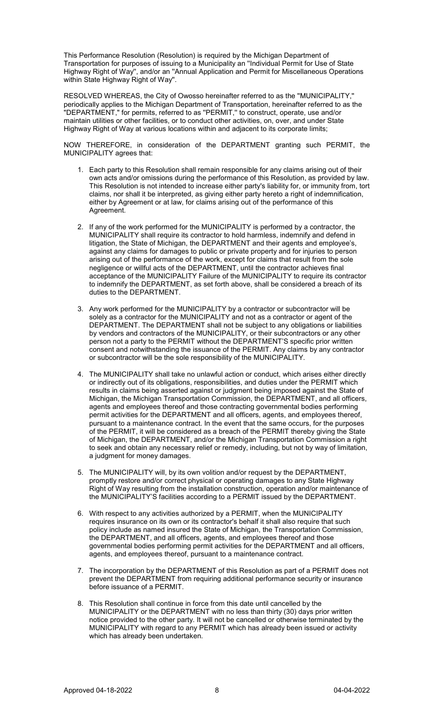This Performance Resolution (Resolution) is required by the Michigan Department of Transportation for purposes of issuing to a Municipality an ''Individual Permit for Use of State Highway Right of Way'', and/or an ''Annual Application and Permit for Miscellaneous Operations within State Highway Right of Way''.

RESOLVED WHEREAS, the City of Owosso hereinafter referred to as the ''MUNICIPALITY,'' periodically applies to the Michigan Department of Transportation, hereinafter referred to as the "DEPARTMENT," for permits, referred to as ''PERMIT,'' to construct, operate, use and/or maintain utilities or other facilities, or to conduct other activities, on, over, and under State Highway Right of Way at various locations within and adjacent to its corporate limits;

NOW THEREFORE, in consideration of the DEPARTMENT granting such PERMIT, the MUNICIPALITY agrees that:

- 1. Each party to this Resolution shall remain responsible for any claims arising out of their own acts and/or omissions during the performance of this Resolution, as provided by law. This Resolution is not intended to increase either party's liability for, or immunity from, tort claims, nor shall it be interpreted, as giving either party hereto a right of indemnification, either by Agreement or at law, for claims arising out of the performance of this Agreement.
- 2. If any of the work performed for the MUNICIPALITY is performed by a contractor, the MUNICIPALITY shall require its contractor to hold harmless, indemnify and defend in litigation, the State of Michigan, the DEPARTMENT and their agents and employee's, against any claims for damages to public or private property and for injuries to person arising out of the performance of the work, except for claims that result from the sole negligence or willful acts of the DEPARTMENT, until the contractor achieves final acceptance of the MUNICIPALITY Failure of the MUNICIPALITY to require its contractor to indemnify the DEPARTMENT, as set forth above, shall be considered a breach of its duties to the DEPARTMENT.
- 3. Any work performed for the MUNICIPALITY by a contractor or subcontractor will be solely as a contractor for the MUNICIPALITY and not as a contractor or agent of the DEPARTMENT. The DEPARTMENT shall not be subject to any obligations or liabilities by vendors and contractors of the MUNICIPALITY, or their subcontractors or any other person not a party to the PERMIT without the DEPARTMENT'S specific prior written consent and notwithstanding the issuance of the PERMIT. Any claims by any contractor or subcontractor will be the sole responsibility of the MUNICIPALITY.
- 4. The MUNICIPALITY shall take no unlawful action or conduct, which arises either directly or indirectly out of its obligations, responsibilities, and duties under the PERMIT which results in claims being asserted against or judgment being imposed against the State of Michigan, the Michigan Transportation Commission, the DEPARTMENT, and all officers, agents and employees thereof and those contracting governmental bodies performing permit activities for the DEPARTMENT and all officers, agents, and employees thereof, pursuant to a maintenance contract. In the event that the same occurs, for the purposes of the PERMIT, it will be considered as a breach of the PERMIT thereby giving the State of Michigan, the DEPARTMENT, and/or the Michigan Transportation Commission a right to seek and obtain any necessary relief or remedy, including, but not by way of limitation, a judgment for money damages.
- 5. The MUNICIPALITY will, by its own volition and/or request by the DEPARTMENT, promptly restore and/or correct physical or operating damages to any State Highway Right of Way resulting from the installation construction, operation and/or maintenance of the MUNICIPALITY'S facilities according to a PERMIT issued by the DEPARTMENT.
- 6. With respect to any activities authorized by a PERMIT, when the MUNICIPALITY requires insurance on its own or its contractor's behalf it shall also require that such policy include as named insured the State of Michigan, the Transportation Commission, the DEPARTMENT, and all officers, agents, and employees thereof and those governmental bodies performing permit activities for the DEPARTMENT and all officers, agents, and employees thereof, pursuant to a maintenance contract.
- 7. The incorporation by the DEPARTMENT of this Resolution as part of a PERMIT does not prevent the DEPARTMENT from requiring additional performance security or insurance before issuance of a PERMIT.
- 8. This Resolution shall continue in force from this date until cancelled by the MUNICIPALITY or the DEPARTMENT with no less than thirty (30) days prior written notice provided to the other party. It will not be cancelled or otherwise terminated by the MUNICIPALITY with regard to any PERMIT which has already been issued or activity which has already been undertaken.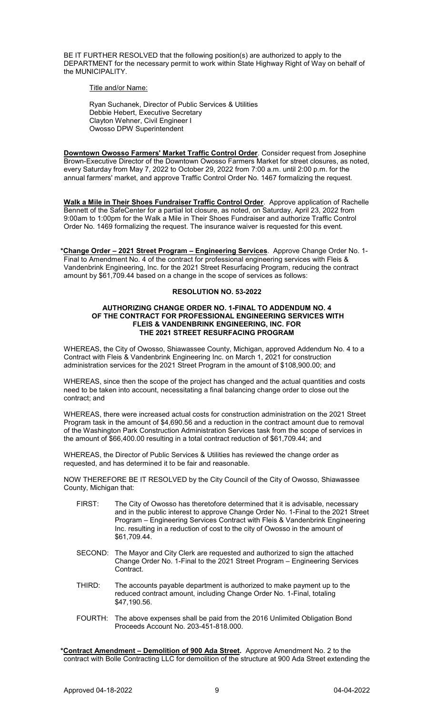BE IT FURTHER RESOLVED that the following position(s) are authorized to apply to the DEPARTMENT for the necessary permit to work within State Highway Right of Way on behalf of the MUNICIPALITY.

Title and/or Name:

Ryan Suchanek, Director of Public Services & Utilities Debbie Hebert, Executive Secretary Clayton Wehner, Civil Engineer I Owosso DPW Superintendent

**Downtown Owosso Farmers' Market Traffic Control Order**. Consider request from Josephine Brown-Executive Director of the Downtown Owosso Farmers Market for street closures, as noted, every Saturday from May 7, 2022 to October 29, 2022 from 7:00 a.m. until 2:00 p.m. for the annual farmers' market, and approve Traffic Control Order No. 1467 formalizing the request.

**Walk a Mile in Their Shoes Fundraiser Traffic Control Order**. Approve application of Rachelle Bennett of the SafeCenter for a partial lot closure, as noted, on Saturday, April 23, 2022 from 9:00am to 1:00pm for the Walk a Mile in Their Shoes Fundraiser and authorize Traffic Control Order No. 1469 formalizing the request. The insurance waiver is requested for this event.

**\*Change Order – 2021 Street Program – Engineering Services**. Approve Change Order No. 1- Final to Amendment No. 4 of the contract for professional engineering services with Fleis & Vandenbrink Engineering, Inc. for the 2021 Street Resurfacing Program, reducing the contract amount by \$61,709.44 based on a change in the scope of services as follows:

# **RESOLUTION NO. 53-2022**

#### **AUTHORIZING CHANGE ORDER NO. 1-FINAL TO ADDENDUM NO. 4 OF THE CONTRACT FOR PROFESSIONAL ENGINEERING SERVICES WITH FLEIS & VANDENBRINK ENGINEERING, INC. FOR THE 2021 STREET RESURFACING PROGRAM**

WHEREAS, the City of Owosso, Shiawassee County, Michigan, approved Addendum No. 4 to a Contract with Fleis & Vandenbrink Engineering Inc. on March 1, 2021 for construction administration services for the 2021 Street Program in the amount of \$108,900.00; and

WHEREAS, since then the scope of the project has changed and the actual quantities and costs need to be taken into account, necessitating a final balancing change order to close out the contract; and

WHEREAS, there were increased actual costs for construction administration on the 2021 Street Program task in the amount of \$4,690.56 and a reduction in the contract amount due to removal of the Washington Park Construction Administration Services task from the scope of services in the amount of \$66,400.00 resulting in a total contract reduction of \$61,709.44; and

WHEREAS, the Director of Public Services & Utilities has reviewed the change order as requested, and has determined it to be fair and reasonable.

NOW THEREFORE BE IT RESOLVED by the City Council of the City of Owosso, Shiawassee County, Michigan that:

- FIRST: The City of Owosso has theretofore determined that it is advisable, necessary and in the public interest to approve Change Order No. 1-Final to the 2021 Street Program – Engineering Services Contract with Fleis & Vandenbrink Engineering Inc. resulting in a reduction of cost to the city of Owosso in the amount of \$61,709.44.
- SECOND: The Mayor and City Clerk are requested and authorized to sign the attached Change Order No. 1-Final to the 2021 Street Program – Engineering Services Contract.
- THIRD: The accounts payable department is authorized to make payment up to the reduced contract amount, including Change Order No. 1-Final, totaling \$47,190.56.
- FOURTH: The above expenses shall be paid from the 2016 Unlimited Obligation Bond Proceeds Account No. 203-451-818.000.

**\*Contract Amendment – Demolition of 900 Ada Street.** Approve Amendment No. 2 to the contract with Bolle Contracting LLC for demolition of the structure at 900 Ada Street extending the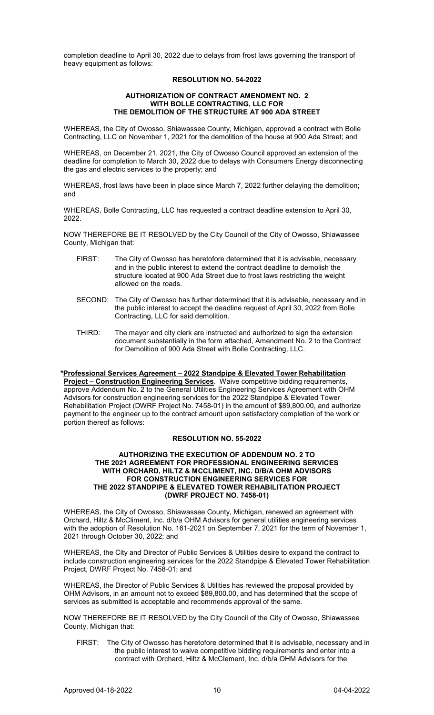completion deadline to April 30, 2022 due to delays from frost laws governing the transport of heavy equipment as follows:

## **RESOLUTION NO. 54-2022**

#### **AUTHORIZATION OF CONTRACT AMENDMENT NO. 2 WITH BOLLE CONTRACTING, LLC FOR THE DEMOLITION OF THE STRUCTURE AT 900 ADA STREET**

WHEREAS, the City of Owosso, Shiawassee County, Michigan, approved a contract with Bolle Contracting, LLC on November 1, 2021 for the demolition of the house at 900 Ada Street; and

WHEREAS, on December 21, 2021, the City of Owosso Council approved an extension of the deadline for completion to March 30, 2022 due to delays with Consumers Energy disconnecting the gas and electric services to the property; and

WHEREAS, frost laws have been in place since March 7, 2022 further delaying the demolition; and

WHEREAS, Bolle Contracting, LLC has requested a contract deadline extension to April 30, 2022.

NOW THEREFORE BE IT RESOLVED by the City Council of the City of Owosso, Shiawassee County, Michigan that:

- FIRST: The City of Owosso has heretofore determined that it is advisable, necessary and in the public interest to extend the contract deadline to demolish the structure located at 900 Ada Street due to frost laws restricting the weight allowed on the roads.
- SECOND: The City of Owosso has further determined that it is advisable, necessary and in the public interest to accept the deadline request of April 30, 2022 from Bolle Contracting, LLC for said demolition.
- THIRD: The mayor and city clerk are instructed and authorized to sign the extension document substantially in the form attached, Amendment No. 2 to the Contract for Demolition of 900 Ada Street with Bolle Contracting, LLC.

#### **\*Professional Services Agreement – 2022 Standpipe & Elevated Tower Rehabilitation Project – Construction Engineering Services**. Waive competitive bidding requirements, approve Addendum No. 2 to the General Utilities Engineering Services Agreement with OHM Advisors for construction engineering services for the 2022 Standpipe & Elevated Tower Rehabilitation Project (DWRF Project No. 7458-01) in the amount of \$89,800.00, and authorize payment to the engineer up to the contract amount upon satisfactory completion of the work or portion thereof as follows:

# **RESOLUTION NO. 55-2022**

#### **AUTHORIZING THE EXECUTION OF ADDENDUM NO. 2 TO THE 2021 AGREEMENT FOR PROFESSIONAL ENGINEERING SERVICES WITH ORCHARD, HILTZ & MCCLIMENT, INC. D/B/A OHM ADVISORS FOR CONSTRUCTION ENGINEERING SERVICES FOR THE 2022 STANDPIPE & ELEVATED TOWER REHABILITATION PROJECT (DWRF PROJECT NO. 7458-01)**

WHEREAS, the City of Owosso, Shiawassee County, Michigan, renewed an agreement with Orchard, Hiltz & McCliment, Inc. d/b/a OHM Advisors for general utilities engineering services with the adoption of Resolution No. 161-2021 on September 7, 2021 for the term of November 1, 2021 through October 30, 2022; and

WHEREAS, the City and Director of Public Services & Utilities desire to expand the contract to include construction engineering services for the 2022 Standpipe & Elevated Tower Rehabilitation Project, DWRF Project No. 7458-01; and

WHEREAS, the Director of Public Services & Utilities has reviewed the proposal provided by OHM Advisors, in an amount not to exceed \$89,800.00, and has determined that the scope of services as submitted is acceptable and recommends approval of the same.

NOW THEREFORE BE IT RESOLVED by the City Council of the City of Owosso, Shiawassee County, Michigan that:

FIRST: The City of Owosso has heretofore determined that it is advisable, necessary and in the public interest to waive competitive bidding requirements and enter into a contract with Orchard, Hiltz & McClement, Inc. d/b/a OHM Advisors for the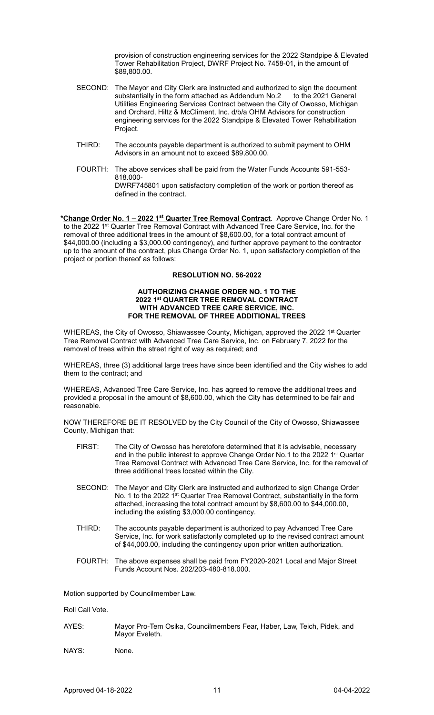provision of construction engineering services for the 2022 Standpipe & Elevated Tower Rehabilitation Project, DWRF Project No. 7458-01, in the amount of \$89,800.00.

- SECOND: The Mayor and City Clerk are instructed and authorized to sign the document<br>substantially in the form attached as Addendum No.2 to the 2021 General substantially in the form attached as Addendum No.2 Utilities Engineering Services Contract between the City of Owosso, Michigan and Orchard, Hiltz & McCliment, Inc. d/b/a OHM Advisors for construction engineering services for the 2022 Standpipe & Elevated Tower Rehabilitation Project.
- THIRD: The accounts payable department is authorized to submit payment to OHM Advisors in an amount not to exceed \$89,800.00.
- FOURTH: The above services shall be paid from the Water Funds Accounts 591-553- 818.000- DWRF745801 upon satisfactory completion of the work or portion thereof as defined in the contract.

**\*Change Order No. 1 – 2022 1st Quarter Tree Removal Contract**. Approve Change Order No. 1 to the 2022 1<sup>st</sup> Quarter Tree Removal Contract with Advanced Tree Care Service, Inc. for the removal of three additional trees in the amount of \$8,600.00, for a total contract amount of \$44,000.00 (including a \$3,000.00 contingency), and further approve payment to the contractor up to the amount of the contract, plus Change Order No. 1, upon satisfactory completion of the project or portion thereof as follows:

## **RESOLUTION NO. 56-2022**

#### **AUTHORIZING CHANGE ORDER NO. 1 TO THE 2022 1st QUARTER TREE REMOVAL CONTRACT WITH ADVANCED TREE CARE SERVICE, INC. FOR THE REMOVAL OF THREE ADDITIONAL TREES**

WHEREAS, the City of Owosso, Shiawassee County, Michigan, approved the 2022 1<sup>st</sup> Quarter Tree Removal Contract with Advanced Tree Care Service, Inc. on February 7, 2022 for the removal of trees within the street right of way as required; and

WHEREAS, three (3) additional large trees have since been identified and the City wishes to add them to the contract; and

WHEREAS, Advanced Tree Care Service, Inc. has agreed to remove the additional trees and provided a proposal in the amount of \$8,600.00, which the City has determined to be fair and reasonable.

NOW THEREFORE BE IT RESOLVED by the City Council of the City of Owosso, Shiawassee County, Michigan that:

- FIRST: The City of Owosso has heretofore determined that it is advisable, necessary and in the public interest to approve Change Order No.1 to the 2022 1<sup>st</sup> Quarter Tree Removal Contract with Advanced Tree Care Service, Inc. for the removal of three additional trees located within the City.
- SECOND: The Mayor and City Clerk are instructed and authorized to sign Change Order No. 1 to the 2022 1<sup>st</sup> Quarter Tree Removal Contract, substantially in the form attached, increasing the total contract amount by \$8,600.00 to \$44,000.00, including the existing \$3,000.00 contingency.
- THIRD: The accounts payable department is authorized to pay Advanced Tree Care Service, Inc. for work satisfactorily completed up to the revised contract amount of \$44,000.00, including the contingency upon prior written authorization.
- FOURTH: The above expenses shall be paid from FY2020-2021 Local and Major Street Funds Account Nos. 202/203-480-818.000.

Motion supported by Councilmember Law.

Roll Call Vote.

- AYES: Mayor Pro-Tem Osika, Councilmembers Fear, Haber, Law, Teich, Pidek, and Mayor Eveleth.
- NAYS: None.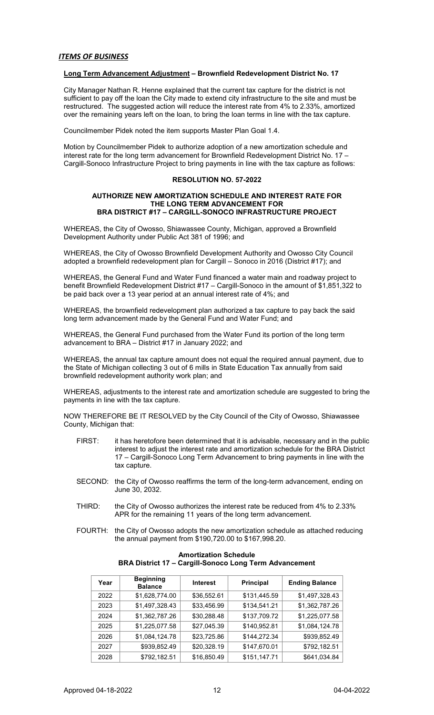## *ITEMS OF BUSINESS*

#### **Long Term Advancement Adjustment – Brownfield Redevelopment District No. 17**

City Manager Nathan R. Henne explained that the current tax capture for the district is not sufficient to pay off the loan the City made to extend city infrastructure to the site and must be restructured. The suggested action will reduce the interest rate from 4% to 2.33%, amortized over the remaining years left on the loan, to bring the loan terms in line with the tax capture.

Councilmember Pidek noted the item supports Master Plan Goal 1.4.

Motion by Councilmember Pidek to authorize adoption of a new amortization schedule and interest rate for the long term advancement for Brownfield Redevelopment District No. 17 – Cargill-Sonoco Infrastructure Project to bring payments in line with the tax capture as follows:

#### **RESOLUTION NO. 57-2022**

#### **AUTHORIZE NEW AMORTIZATION SCHEDULE AND INTEREST RATE FOR THE LONG TERM ADVANCEMENT FOR BRA DISTRICT #17 – CARGILL-SONOCO INFRASTRUCTURE PROJECT**

WHEREAS, the City of Owosso, Shiawassee County, Michigan, approved a Brownfield Development Authority under Public Act 381 of 1996; and

WHEREAS, the City of Owosso Brownfield Development Authority and Owosso City Council adopted a brownfield redevelopment plan for Cargill – Sonoco in 2016 (District #17); and

WHEREAS, the General Fund and Water Fund financed a water main and roadway project to benefit Brownfield Redevelopment District #17 – Cargill-Sonoco in the amount of \$1,851,322 to be paid back over a 13 year period at an annual interest rate of 4%; and

WHEREAS, the brownfield redevelopment plan authorized a tax capture to pay back the said long term advancement made by the General Fund and Water Fund; and

WHEREAS, the General Fund purchased from the Water Fund its portion of the long term advancement to BRA – District #17 in January 2022; and

WHEREAS, the annual tax capture amount does not equal the required annual payment, due to the State of Michigan collecting 3 out of 6 mills in State Education Tax annually from said brownfield redevelopment authority work plan; and

WHEREAS, adjustments to the interest rate and amortization schedule are suggested to bring the payments in line with the tax capture.

NOW THEREFORE BE IT RESOLVED by the City Council of the City of Owosso, Shiawassee County, Michigan that:

- FIRST: it has heretofore been determined that it is advisable, necessary and in the public interest to adjust the interest rate and amortization schedule for the BRA District 17 – Cargill-Sonoco Long Term Advancement to bring payments in line with the tax capture.
- SECOND: the City of Owosso reaffirms the term of the long-term advancement, ending on June 30, 2032.
- THIRD: the City of Owosso authorizes the interest rate be reduced from 4% to 2.33% APR for the remaining 11 years of the long term advancement.
- FOURTH: the City of Owosso adopts the new amortization schedule as attached reducing the annual payment from \$190,720.00 to \$167,998.20.

| Year | <b>Beginning</b><br><b>Balance</b> | <b>Interest</b> | <b>Principal</b> | <b>Ending Balance</b> |
|------|------------------------------------|-----------------|------------------|-----------------------|
| 2022 | \$1,628,774.00                     | \$36,552.61     | \$131,445.59     | \$1,497,328.43        |
| 2023 | \$1,497,328.43                     | \$33,456.99     | \$134,541.21     | \$1,362,787.26        |
| 2024 | \$1,362,787.26                     | \$30,288.48     | \$137,709.72     | \$1,225,077.58        |
| 2025 | \$1,225,077.58                     | \$27,045.39     | \$140,952.81     | \$1,084,124.78        |
| 2026 | \$1,084,124.78                     | \$23,725.86     | \$144,272.34     | \$939,852.49          |
| 2027 | \$939,852.49                       | \$20,328.19     | \$147,670.01     | \$792,182.51          |
| 2028 | \$792,182.51                       | \$16,850.49     | \$151,147.71     | \$641,034.84          |

#### **Amortization Schedule BRA District 17 – Cargill-Sonoco Long Term Advancement**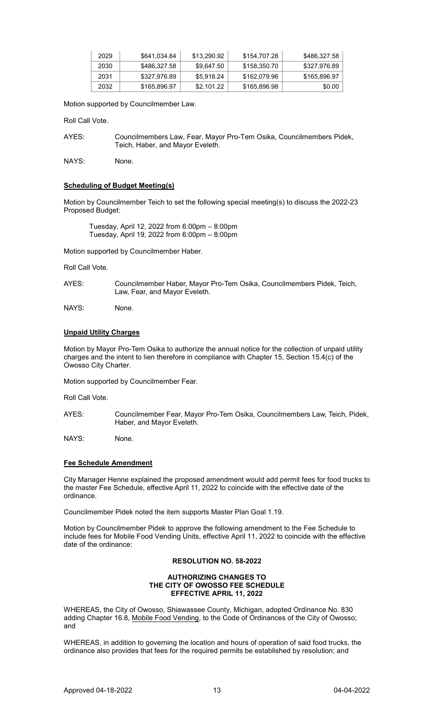| 2029 | \$641.034.84 | \$13,290.92 | \$154,707.28 | \$486,327.58 |
|------|--------------|-------------|--------------|--------------|
| 2030 | \$486.327.58 | \$9.647.50  | \$158,350.70 | \$327.976.89 |
| 2031 | \$327.976.89 | \$5.918.24  | \$162,079.96 | \$165,896.97 |
| 2032 | \$165,896.97 | \$2.101.22  | \$165,896.98 | \$0.00       |

Motion supported by Councilmember Law.

Roll Call Vote.

AYES: Councilmembers Law, Fear, Mayor Pro-Tem Osika, Councilmembers Pidek, Teich, Haber, and Mayor Eveleth.

NAYS: None.

## **Scheduling of Budget Meeting(s)**

Motion by Councilmember Teich to set the following special meeting(s) to discuss the 2022-23 Proposed Budget:

Tuesday, April 12, 2022 from 6:00pm – 8:00pm Tuesday, April 19, 2022 from 6:00pm – 8:00pm

Motion supported by Councilmember Haber.

Roll Call Vote.

AYES: Councilmember Haber, Mayor Pro-Tem Osika, Councilmembers Pidek, Teich, Law, Fear, and Mayor Eveleth.

NAYS: None.

## **Unpaid Utility Charges**

Motion by Mayor Pro-Tem Osika to authorize the annual notice for the collection of unpaid utility charges and the intent to lien therefore in compliance with Chapter 15, Section 15.4(c) of the Owosso City Charter.

Motion supported by Councilmember Fear.

Roll Call Vote.

AYES: Councilmember Fear, Mayor Pro-Tem Osika, Councilmembers Law, Teich, Pidek, Haber, and Mayor Eveleth.

NAYS: None.

# **Fee Schedule Amendment**

City Manager Henne explained the proposed amendment would add permit fees for food trucks to the master Fee Schedule, effective April 11, 2022 to coincide with the effective date of the ordinance.

Councilmember Pidek noted the item supports Master Plan Goal 1.19.

Motion by Councilmember Pidek to approve the following amendment to the Fee Schedule to include fees for Mobile Food Vending Units, effective April 11, 2022 to coincide with the effective date of the ordinance:

#### **RESOLUTION NO. 58-2022**

#### **AUTHORIZING CHANGES TO THE CITY OF OWOSSO FEE SCHEDULE EFFECTIVE APRIL 11, 2022**

WHEREAS, the City of Owosso, Shiawassee County, Michigan, adopted Ordinance No. 830 adding Chapter 16.8, Mobile Food Vending, to the Code of Ordinances of the City of Owosso; and

WHEREAS, in addition to governing the location and hours of operation of said food trucks, the ordinance also provides that fees for the required permits be established by resolution; and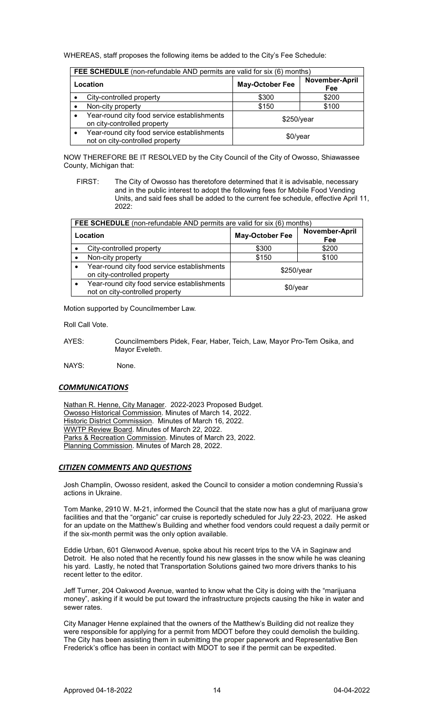WHEREAS, staff proposes the following items be added to the City's Fee Schedule:

| <b>FEE SCHEDULE</b> (non-refundable AND permits are valid for six (6) months)  |                        |                       |  |
|--------------------------------------------------------------------------------|------------------------|-----------------------|--|
| Location                                                                       | <b>May-October Fee</b> | November-April<br>Fee |  |
| City-controlled property                                                       | \$300                  | \$200                 |  |
| Non-city property                                                              | \$150                  | \$100                 |  |
| Year-round city food service establishments<br>on city-controlled property     | \$250/year             |                       |  |
| Year-round city food service establishments<br>not on city-controlled property | $$0$ /year             |                       |  |

NOW THEREFORE BE IT RESOLVED by the City Council of the City of Owosso, Shiawassee County, Michigan that:

FIRST: The City of Owosso has theretofore determined that it is advisable, necessary and in the public interest to adopt the following fees for Mobile Food Vending Units, and said fees shall be added to the current fee schedule, effective April 11, 2022:

| FEE SCHEDULE (non-refundable AND permits are valid for six (6) months)         |                        |                       |  |
|--------------------------------------------------------------------------------|------------------------|-----------------------|--|
| Location                                                                       | <b>May-October Fee</b> | November-April<br>Fee |  |
| City-controlled property                                                       | \$300                  | \$200                 |  |
| Non-city property                                                              | \$150                  | \$100                 |  |
| Year-round city food service establishments<br>on city-controlled property     | $$250$ /year           |                       |  |
| Year-round city food service establishments<br>not on city-controlled property | $$0$ /year             |                       |  |

Motion supported by Councilmember Law.

Roll Call Vote.

AYES: Councilmembers Pidek, Fear, Haber, Teich, Law, Mayor Pro-Tem Osika, and Mayor Eveleth.

NAYS: None.

#### *COMMUNICATIONS*

Nathan R. Henne, City Manager. 2022-2023 Proposed Budget. Owosso Historical Commission. Minutes of March 14, 2022. Historic District Commission. Minutes of March 16, 2022. WWTP Review Board. Minutes of March 22, 2022. Parks & Recreation Commission. Minutes of March 23, 2022. Planning Commission. Minutes of March 28, 2022.

#### *CITIZEN COMMENTS AND QUESTIONS*

Josh Champlin, Owosso resident, asked the Council to consider a motion condemning Russia's actions in Ukraine.

Tom Manke, 2910 W. M-21, informed the Council that the state now has a glut of marijuana grow facilities and that the "organic" car cruise is reportedly scheduled for July 22-23, 2022. He asked for an update on the Matthew's Building and whether food vendors could request a daily permit or if the six-month permit was the only option available.

Eddie Urban, 601 Glenwood Avenue, spoke about his recent trips to the VA in Saginaw and Detroit. He also noted that he recently found his new glasses in the snow while he was cleaning his yard. Lastly, he noted that Transportation Solutions gained two more drivers thanks to his recent letter to the editor.

Jeff Turner, 204 Oakwood Avenue, wanted to know what the City is doing with the "marijuana money", asking if it would be put toward the infrastructure projects causing the hike in water and sewer rates.

City Manager Henne explained that the owners of the Matthew's Building did not realize they were responsible for applying for a permit from MDOT before they could demolish the building. The City has been assisting them in submitting the proper paperwork and Representative Ben Frederick's office has been in contact with MDOT to see if the permit can be expedited.